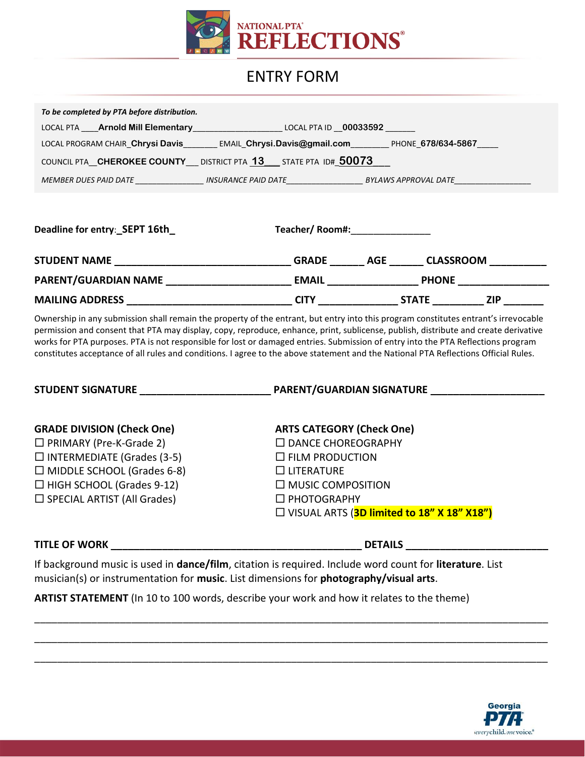

## ENTRY FORM

| To be completed by PTA before distribution.                                            |
|----------------------------------------------------------------------------------------|
| LOCAL PTA Arnold Mill Elementary<br>LOCAL PTA ID 00033592                              |
| LOCAL PROGRAM CHAIR_Chrysi Davis<br>EMAIL Chrysi.Davis@gmail.com<br>PHONE 678/634-5867 |
| COUNCIL PTA CHEROKEE COUNTY DISTRICT PTA 13 STATE PTA ID# 50073                        |
| MEMBER DUES PAID DATE<br>BYLAWS APPROVAL DATE<br>INSURANCE PAID DATE                   |
|                                                                                        |

| Deadline for entry: SEPT 16th | Teacher/Room#: |              |                  |  |
|-------------------------------|----------------|--------------|------------------|--|
| <b>STUDENT NAME</b>           | <b>GRADE</b>   | AGE          | <b>CLASSROOM</b> |  |
| PARENT/GUARDIAN NAME          | <b>EMAIL</b>   | <b>PHONE</b> |                  |  |
| <b>MAILING ADDRESS</b>        | <b>CITY</b>    | <b>STATE</b> | <b>ZIP</b>       |  |

Ownership in any submission shall remain the property of the entrant, but entry into this program constitutes entrant's irrevocable permission and consent that PTA may display, copy, reproduce, enhance, print, sublicense, publish, distribute and create derivative works for PTA purposes. PTA is not responsible for lost or damaged entries. Submission of entry into the PTA Reflections program constitutes acceptance of all rules and conditions. I agree to the above statement and the National PTA Reflections Official Rules.

| <b>STUDENT SIGNATURE</b>           | <b>PARENT/GUARDIAN SIGNATURE</b>             |
|------------------------------------|----------------------------------------------|
| <b>GRADE DIVISION (Check One)</b>  | <b>ARTS CATEGORY (Check One)</b>             |
| $\Box$ PRIMARY (Pre-K-Grade 2)     | □ DANCE CHOREOGRAPHY                         |
| $\Box$ INTERMEDIATE (Grades (3-5)  | $\Box$ FILM PRODUCTION                       |
| $\Box$ MIDDLE SCHOOL (Grades 6-8)  | $\Box$ LITERATURE                            |
| $\Box$ HIGH SCHOOL (Grades 9-12)   | $\Box$ MUSIC COMPOSITION                     |
| $\Box$ SPECIAL ARTIST (All Grades) | □ PHOTOGRAPHY                                |
|                                    | □ VISUAL ARTS (3D limited to 18" X 18" X18") |

## **TITLE OF WORK \_\_\_\_\_\_\_\_\_\_\_\_\_\_\_\_\_\_\_\_\_\_\_\_\_\_\_\_\_\_\_\_\_\_\_\_\_\_\_\_\_\_\_\_ DETAILS \_\_\_\_\_\_\_\_\_\_\_\_\_\_\_\_\_\_\_\_\_\_\_\_\_**

If background music is used in **dance/film**, citation is required. Include word count for **literature**. List musician(s) or instrumentation for **music**. List dimensions for **photography/visual arts**.

\_\_\_\_\_\_\_\_\_\_\_\_\_\_\_\_\_\_\_\_\_\_\_\_\_\_\_\_\_\_\_\_\_\_\_\_\_\_\_\_\_\_\_\_\_\_\_\_\_\_\_\_\_\_\_\_\_\_\_\_\_\_\_\_\_\_\_\_\_\_\_\_\_\_\_\_\_\_\_\_\_\_\_\_\_\_\_\_\_\_

\_\_\_\_\_\_\_\_\_\_\_\_\_\_\_\_\_\_\_\_\_\_\_\_\_\_\_\_\_\_\_\_\_\_\_\_\_\_\_\_\_\_\_\_\_\_\_\_\_\_\_\_\_\_\_\_\_\_\_\_\_\_\_\_\_\_\_\_\_\_\_\_\_\_\_\_\_\_\_\_\_\_\_\_\_\_\_\_\_\_

\_\_\_\_\_\_\_\_\_\_\_\_\_\_\_\_\_\_\_\_\_\_\_\_\_\_\_\_\_\_\_\_\_\_\_\_\_\_\_\_\_\_\_\_\_\_\_\_\_\_\_\_\_\_\_\_\_\_\_\_\_\_\_\_\_\_\_\_\_\_\_\_\_\_\_\_\_\_\_\_\_\_\_\_\_\_\_\_\_\_

**ARTIST STATEMENT** (In 10 to 100 words, describe your work and how it relates to the theme)

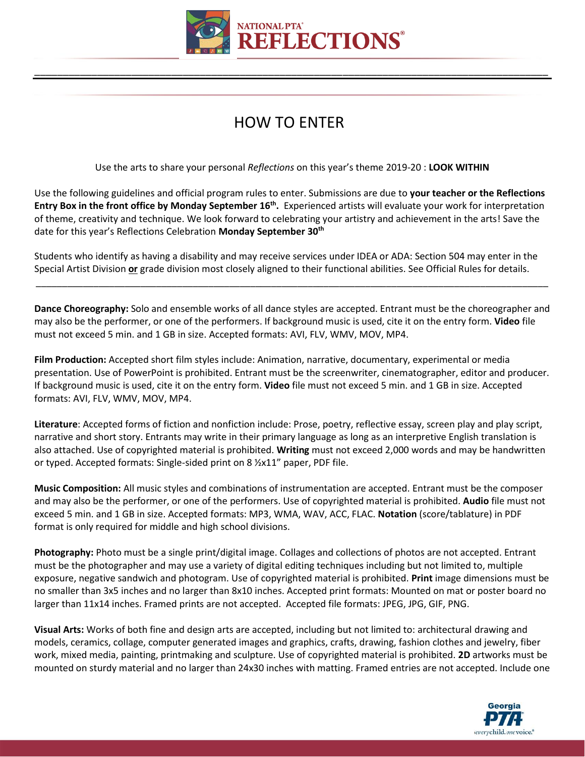

\_\_\_\_\_\_\_\_\_\_\_\_\_\_\_\_\_\_\_\_\_\_\_\_\_\_\_\_\_\_\_\_\_\_\_\_\_\_\_\_\_\_\_\_\_\_\_\_\_\_\_\_\_\_\_\_\_\_\_\_\_\_\_\_\_\_\_\_\_\_\_\_\_\_\_\_\_\_\_\_\_\_\_\_\_\_\_\_\_\_

## HOW TO ENTER

Use the arts to share your personal *Reflections* on this year's theme 2019-20 : **LOOK WITHIN**

Use the following guidelines and official program rules to enter. Submissions are due to **your teacher or the Reflections Entry Box in the front office by Monday September 16<sup>th</sup>.** Experienced artists will evaluate your work for interpretation of theme, creativity and technique. We look forward to celebrating your artistry and achievement in the arts! Save the date for this year's Reflections Celebration **Monday September 30th**

Students who identify as having a disability and may receive services under IDEA or ADA: Section 504 may enter in the Special Artist Division **or** grade division most closely aligned to their functional abilities. See Official Rules for details.

**Dance Choreography:** Solo and ensemble works of all dance styles are accepted. Entrant must be the choreographer and may also be the performer, or one of the performers. If background music is used, cite it on the entry form. **Video** file must not exceed 5 min. and 1 GB in size. Accepted formats: AVI, FLV, WMV, MOV, MP4.

\_\_\_\_\_\_\_\_\_\_\_\_\_\_\_\_\_\_\_\_\_\_\_\_\_\_\_\_\_\_\_\_\_\_\_\_\_\_\_\_\_\_\_\_\_\_\_\_\_\_\_\_\_\_\_\_\_\_\_\_\_\_\_\_\_\_\_\_\_\_\_\_\_\_\_\_\_\_\_\_\_\_\_\_\_\_\_\_\_\_\_\_\_\_\_\_\_\_

**Film Production:** Accepted short film styles include: Animation, narrative, documentary, experimental or media presentation. Use of PowerPoint is prohibited. Entrant must be the screenwriter, cinematographer, editor and producer. If background music is used, cite it on the entry form. **Video** file must not exceed 5 min. and 1 GB in size. Accepted formats: AVI, FLV, WMV, MOV, MP4.

**Literature**: Accepted forms of fiction and nonfiction include: Prose, poetry, reflective essay, screen play and play script, narrative and short story. Entrants may write in their primary language as long as an interpretive English translation is also attached. Use of copyrighted material is prohibited. **Writing** must not exceed 2,000 words and may be handwritten or typed. Accepted formats: Single-sided print on 8 ½x11" paper, PDF file.

**Music Composition:** All music styles and combinations of instrumentation are accepted. Entrant must be the composer and may also be the performer, or one of the performers. Use of copyrighted material is prohibited. **Audio** file must not exceed 5 min. and 1 GB in size. Accepted formats: MP3, WMA, WAV, ACC, FLAC. **Notation** (score/tablature) in PDF format is only required for middle and high school divisions.

**Photography:** Photo must be a single print/digital image. Collages and collections of photos are not accepted. Entrant must be the photographer and may use a variety of digital editing techniques including but not limited to, multiple exposure, negative sandwich and photogram. Use of copyrighted material is prohibited. **Print** image dimensions must be no smaller than 3x5 inches and no larger than 8x10 inches. Accepted print formats: Mounted on mat or poster board no larger than 11x14 inches. Framed prints are not accepted. Accepted file formats: JPEG, JPG, GIF, PNG.

**Visual Arts:** Works of both fine and design arts are accepted, including but not limited to: architectural drawing and models, ceramics, collage, computer generated images and graphics, crafts, drawing, fashion clothes and jewelry, fiber work, mixed media, painting, printmaking and sculpture. Use of copyrighted material is prohibited. **2D** artworks must be mounted on sturdy material and no larger than 24x30 inches with matting. Framed entries are not accepted. Include one

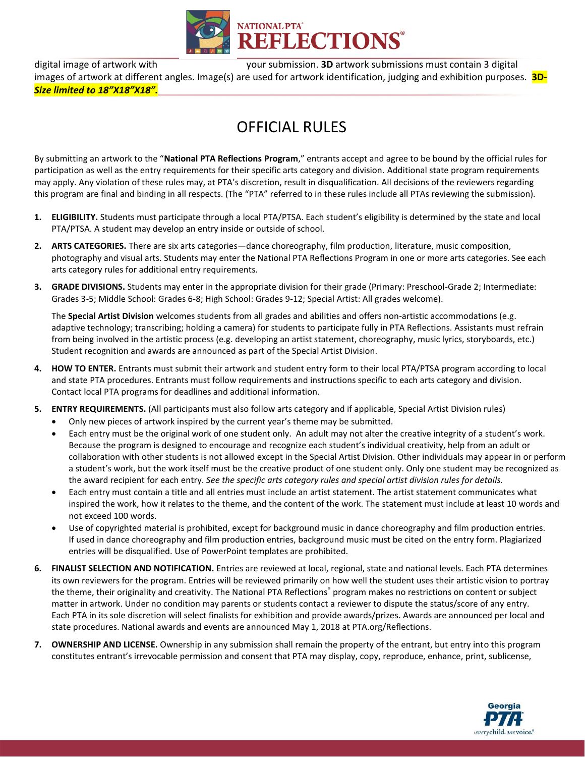

digital image of artwork with your submission. **3D** artwork submissions must contain 3 digital images of artwork at different angles. Image(s) are used for artwork identification, judging and exhibition purposes. **3D-***Size limited to 18"X18"X18".*

## OFFICIAL RULES

By submitting an artwork to the "**National PTA Reflections Program**," entrants accept and agree to be bound by the official rules for participation as well as the entry requirements for their specific arts category and division. Additional state program requirements may apply. Any violation of these rules may, at PTA's discretion, result in disqualification. All decisions of the reviewers regarding this program are final and binding in all respects. (The "PTA" referred to in these rules include all PTAs reviewing the submission).

- **1. ELIGIBILITY.** Students must participate through a local PTA/PTSA. Each student's eligibility is determined by the state and local PTA/PTSA. A student may develop an entry inside or outside of school.
- **2. ARTS CATEGORIES.** There are six arts categories—dance choreography, film production, literature, music composition, photography and visual arts. Students may enter the National PTA Reflections Program in one or more arts categories. See each arts category rules for additional entry requirements.
- **3. GRADE DIVISIONS.** Students may enter in the appropriate division for their grade (Primary: Preschool-Grade 2; Intermediate: Grades 3-5; Middle School: Grades 6-8; High School: Grades 9-12; Special Artist: All grades welcome).

The **Special Artist Division** welcomes students from all grades and abilities and offers non-artistic accommodations (e.g. adaptive technology; transcribing; holding a camera) for students to participate fully in PTA Reflections. Assistants must refrain from being involved in the artistic process (e.g. developing an artist statement, choreography, music lyrics, storyboards, etc.) Student recognition and awards are announced as part of the Special Artist Division.

- **4. HOW TO ENTER.** Entrants must submit their artwork and student entry form to their local PTA/PTSA program according to local and state PTA procedures. Entrants must follow requirements and instructions specific to each arts category and division. Contact local PTA programs for deadlines and additional information.
- **5. ENTRY REQUIREMENTS.** (All participants must also follow arts category and if applicable, Special Artist Division rules)
	- Only new pieces of artwork inspired by the current year's theme may be submitted.
	- Each entry must be the original work of one student only. An adult may not alter the creative integrity of a student's work. Because the program is designed to encourage and recognize each student's individual creativity, help from an adult or collaboration with other students is not allowed except in the Special Artist Division. Other individuals may appear in or perform a student's work, but the work itself must be the creative product of one student only. Only one student may be recognized as the award recipient for each entry. *See the specific arts category rules and special artist division rules for details.*
	- Each entry must contain a title and all entries must include an artist statement. The artist statement communicates what inspired the work, how it relates to the theme, and the content of the work. The statement must include at least 10 words and not exceed 100 words.
	- Use of copyrighted material is prohibited, except for background music in dance choreography and film production entries. If used in dance choreography and film production entries, background music must be cited on the entry form. Plagiarized entries will be disqualified. Use of PowerPoint templates are prohibited.
- **6. FINALIST SELECTION AND NOTIFICATION.** Entries are reviewed at local, regional, state and national levels. Each PTA determines its own reviewers for the program. Entries will be reviewed primarily on how well the student uses their artistic vision to portray the theme, their originality and creativity. The National PTA Reflections<sup>®</sup> program makes no restrictions on content or subject matter in artwork. Under no condition may parents or students contact a reviewer to dispute the status/score of any entry. Each PTA in its sole discretion will select finalists for exhibition and provide awards/prizes. Awards are announced per local and state procedures. National awards and events are announced May 1, 2018 at PTA.org/Reflections.
- **7. OWNERSHIP AND LICENSE.** Ownership in any submission shall remain the property of the entrant, but entry into this program constitutes entrant's irrevocable permission and consent that PTA may display, copy, reproduce, enhance, print, sublicense,